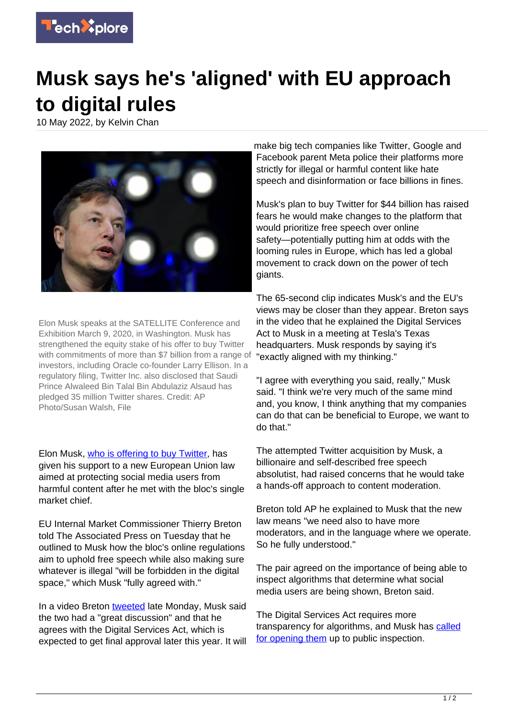

## **Musk says he's 'aligned' with EU approach to digital rules**

10 May 2022, by Kelvin Chan



Elon Musk speaks at the SATELLITE Conference and Exhibition March 9, 2020, in Washington. Musk has strengthened the equity stake of his offer to buy Twitter with commitments of more than \$7 billion from a range of investors, including Oracle co-founder Larry Ellison. In a regulatory filing, Twitter Inc. also disclosed that Saudi Prince Alwaleed Bin Talal Bin Abdulaziz Alsaud has pledged 35 million Twitter shares. Credit: AP Photo/Susan Walsh, File

Elon Musk, [who is offering to buy Twitter,](https://techxplore.com/news/2022-05-elon-musk-big-twitter.html) has given his support to a new European Union law aimed at protecting social media users from harmful content after he met with the bloc's single market chief.

EU Internal Market Commissioner Thierry Breton told The Associated Press on Tuesday that he outlined to Musk how the bloc's online regulations aim to uphold free speech while also making sure whatever is illegal "will be forbidden in the digital space," which Musk "fully agreed with."

In a video Breton [tweeted](https://twitter.com/ThierryBreton/status/1523773895974612992) late Monday, Musk said the two had a "great discussion" and that he agrees with the Digital Services Act, which is expected to get final approval later this year. It will make big tech companies like Twitter, Google and Facebook parent Meta police their platforms more strictly for illegal or harmful content like hate speech and disinformation or face billions in fines.

Musk's plan to buy Twitter for \$44 billion has raised fears he would make changes to the platform that would prioritize free speech over online safety—potentially putting him at odds with the looming rules in Europe, which has led a global movement to crack down on the power of tech giants.

The 65-second clip indicates Musk's and the EU's views may be closer than they appear. Breton says in the video that he explained the Digital Services Act to Musk in a meeting at Tesla's Texas headquarters. Musk responds by saying it's "exactly aligned with my thinking."

"I agree with everything you said, really," Musk said. "I think we're very much of the same mind and, you know, I think anything that my companies can do that can be beneficial to Europe, we want to do that."

The attempted Twitter acquisition by Musk, a billionaire and self-described free speech absolutist, had raised concerns that he would take a hands-off approach to content moderation.

Breton told AP he explained to Musk that the new law means "we need also to have more moderators, and in the language where we operate. So he fully understood."

The pair agreed on the importance of being able to inspect algorithms that determine what social media users are being shown, Breton said.

The Digital Services Act requires more transparency for algorithms, and Musk has [called](https://techxplore.com/news/2022-05-elon-musk-big-twitter.html) [for opening them](https://techxplore.com/news/2022-05-elon-musk-big-twitter.html) up to public inspection.